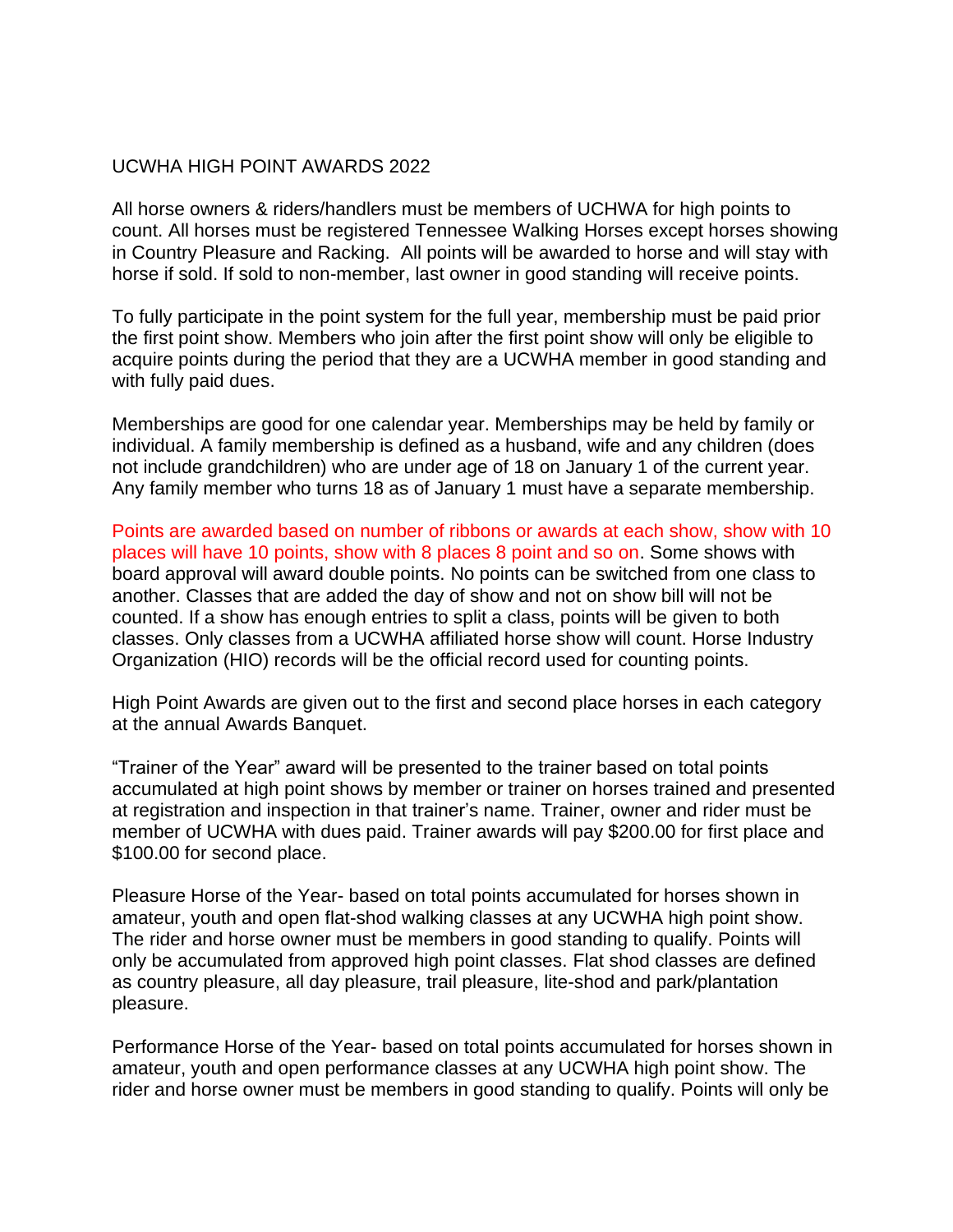## UCWHA HIGH POINT AWARDS 2022

All horse owners & riders/handlers must be members of UCHWA for high points to count. All horses must be registered Tennessee Walking Horses except horses showing in Country Pleasure and Racking. All points will be awarded to horse and will stay with horse if sold. If sold to non-member, last owner in good standing will receive points.

To fully participate in the point system for the full year, membership must be paid prior the first point show. Members who join after the first point show will only be eligible to acquire points during the period that they are a UCWHA member in good standing and with fully paid dues.

Memberships are good for one calendar year. Memberships may be held by family or individual. A family membership is defined as a husband, wife and any children (does not include grandchildren) who are under age of 18 on January 1 of the current year. Any family member who turns 18 as of January 1 must have a separate membership.

Points are awarded based on number of ribbons or awards at each show, show with 10 places will have 10 points, show with 8 places 8 point and so on. Some shows with board approval will award double points. No points can be switched from one class to another. Classes that are added the day of show and not on show bill will not be counted. If a show has enough entries to split a class, points will be given to both classes. Only classes from a UCWHA affiliated horse show will count. Horse Industry Organization (HIO) records will be the official record used for counting points.

High Point Awards are given out to the first and second place horses in each category at the annual Awards Banquet.

"Trainer of the Year" award will be presented to the trainer based on total points accumulated at high point shows by member or trainer on horses trained and presented at registration and inspection in that trainer's name. Trainer, owner and rider must be member of UCWHA with dues paid. Trainer awards will pay \$200.00 for first place and \$100.00 for second place.

Pleasure Horse of the Year- based on total points accumulated for horses shown in amateur, youth and open flat-shod walking classes at any UCWHA high point show. The rider and horse owner must be members in good standing to qualify. Points will only be accumulated from approved high point classes. Flat shod classes are defined as country pleasure, all day pleasure, trail pleasure, lite-shod and park/plantation pleasure.

Performance Horse of the Year- based on total points accumulated for horses shown in amateur, youth and open performance classes at any UCWHA high point show. The rider and horse owner must be members in good standing to qualify. Points will only be